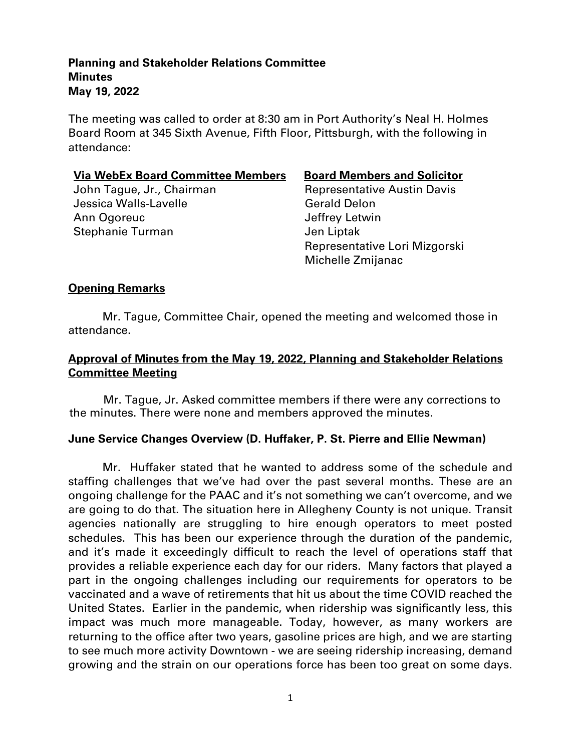The meeting was called to order at 8:30 am in Port Authority's Neal H. Holmes Board Room at 345 Sixth Avenue, Fifth Floor, Pittsburgh, with the following in attendance:

#### **Via WebEx Board Committee Members Board Members and Solicitor**

Jessica Walls-Lavelle Gerald Delon Ann Ogoreuc **Annual Annual Annual Annual Annual Annual Annual Annual Annual Annual Annual Annual Annual Annual Annual Annual Annual Annual Annual Annual Annual Annual Annual Annual Annual Annual Annual Annual Annual Annual** Stephanie Turman and Jen Liptak

John Tague, Jr., Chairman Representative Austin Davis Representative Lori Mizgorski Michelle Zmijanac

# **Opening Remarks**

Mr. Tague, Committee Chair, opened the meeting and welcomed those in attendance.

# **Approval of Minutes from the May 19, 2022, Planning and Stakeholder Relations Committee Meeting**

Mr. Tague, Jr. Asked committee members if there were any corrections to the minutes. There were none and members approved the minutes.

#### **June Service Changes Overview (D. Huffaker, P. St. Pierre and Ellie Newman)**

Mr. Huffaker stated that he wanted to address some of the schedule and staffing challenges that we've had over the past several months. These are an ongoing challenge for the PAAC and it's not something we can't overcome, and we are going to do that. The situation here in Allegheny County is not unique. Transit agencies nationally are struggling to hire enough operators to meet posted schedules. This has been our experience through the duration of the pandemic, and it's made it exceedingly difficult to reach the level of operations staff that provides a reliable experience each day for our riders. Many factors that played a part in the ongoing challenges including our requirements for operators to be vaccinated and a wave of retirements that hit us about the time COVID reached the United States. Earlier in the pandemic, when ridership was significantly less, this impact was much more manageable. Today, however, as many workers are returning to the office after two years, gasoline prices are high, and we are starting to see much more activity Downtown - we are seeing ridership increasing, demand growing and the strain on our operations force has been too great on some days.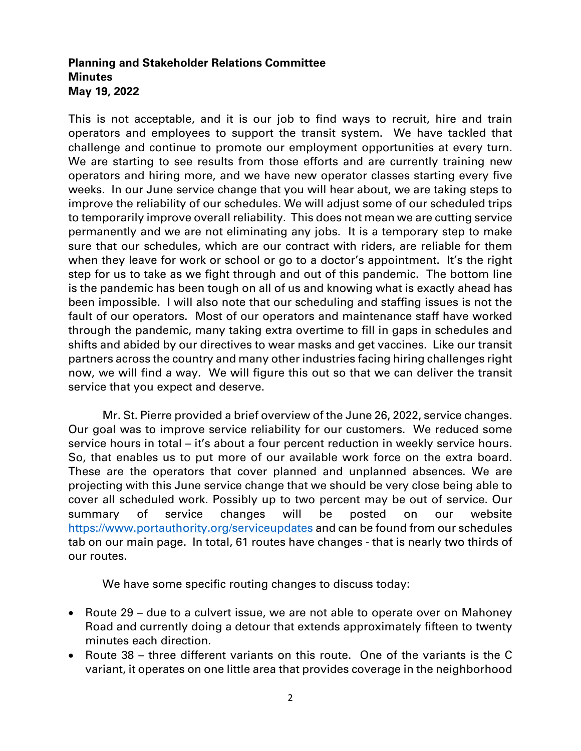This is not acceptable, and it is our job to find ways to recruit, hire and train operators and employees to support the transit system. We have tackled that challenge and continue to promote our employment opportunities at every turn. We are starting to see results from those efforts and are currently training new operators and hiring more, and we have new operator classes starting every five weeks. In our June service change that you will hear about, we are taking steps to improve the reliability of our schedules. We will adjust some of our scheduled trips to temporarily improve overall reliability. This does not mean we are cutting service permanently and we are not eliminating any jobs. It is a temporary step to make sure that our schedules, which are our contract with riders, are reliable for them when they leave for work or school or go to a doctor's appointment. It's the right step for us to take as we fight through and out of this pandemic. The bottom line is the pandemic has been tough on all of us and knowing what is exactly ahead has been impossible. I will also note that our scheduling and staffing issues is not the fault of our operators. Most of our operators and maintenance staff have worked through the pandemic, many taking extra overtime to fill in gaps in schedules and shifts and abided by our directives to wear masks and get vaccines. Like our transit partners across the country and many other industries facing hiring challenges right now, we will find a way. We will figure this out so that we can deliver the transit service that you expect and deserve.

Mr. St. Pierre provided a brief overview of the June 26, 2022, service changes. Our goal was to improve service reliability for our customers. We reduced some service hours in total – it's about a four percent reduction in weekly service hours. So, that enables us to put more of our available work force on the extra board. These are the operators that cover planned and unplanned absences. We are projecting with this June service change that we should be very close being able to cover all scheduled work. Possibly up to two percent may be out of service. Our summary of service changes will be posted on our website <https://www.portauthority.org/serviceupdates> and can be found from our schedules tab on our main page. In total, 61 routes have changes - that is nearly two thirds of our routes.

We have some specific routing changes to discuss today:

- Route 29 due to a culvert issue, we are not able to operate over on Mahoney Road and currently doing a detour that extends approximately fifteen to twenty minutes each direction.
- Route 38 three different variants on this route. One of the variants is the C variant, it operates on one little area that provides coverage in the neighborhood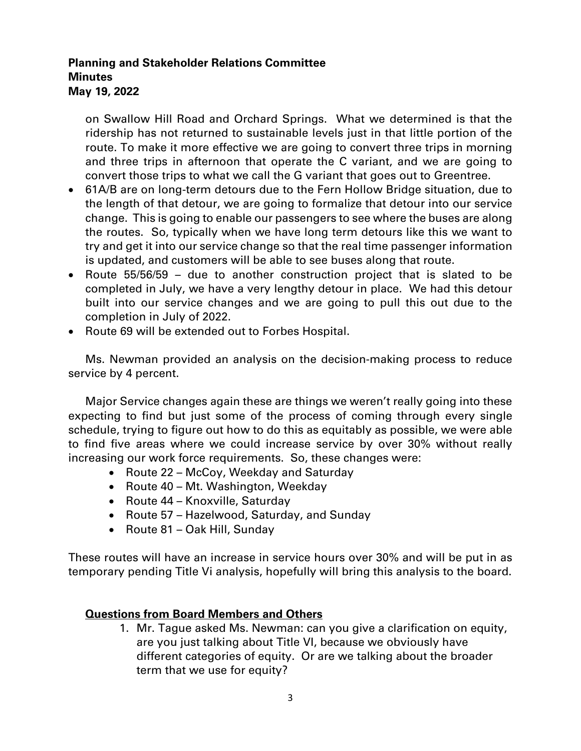on Swallow Hill Road and Orchard Springs. What we determined is that the ridership has not returned to sustainable levels just in that little portion of the route. To make it more effective we are going to convert three trips in morning and three trips in afternoon that operate the C variant, and we are going to convert those trips to what we call the G variant that goes out to Greentree.

- 61A/B are on long-term detours due to the Fern Hollow Bridge situation, due to the length of that detour, we are going to formalize that detour into our service change. This is going to enable our passengers to see where the buses are along the routes. So, typically when we have long term detours like this we want to try and get it into our service change so that the real time passenger information is updated, and customers will be able to see buses along that route.
- Route 55/56/59 due to another construction project that is slated to be completed in July, we have a very lengthy detour in place. We had this detour built into our service changes and we are going to pull this out due to the completion in July of 2022.
- Route 69 will be extended out to Forbes Hospital.

Ms. Newman provided an analysis on the decision-making process to reduce service by 4 percent.

Major Service changes again these are things we weren't really going into these expecting to find but just some of the process of coming through every single schedule, trying to figure out how to do this as equitably as possible, we were able to find five areas where we could increase service by over 30% without really increasing our work force requirements. So, these changes were:

- Route 22 McCoy, Weekday and Saturday
- Route 40 Mt. Washington, Weekday
- Route 44 Knoxville, Saturday
- Route 57 Hazelwood, Saturday, and Sunday
- Route 81 Oak Hill, Sunday

These routes will have an increase in service hours over 30% and will be put in as temporary pending Title Vi analysis, hopefully will bring this analysis to the board.

#### **Questions from Board Members and Others**

1. Mr. Tague asked Ms. Newman: can you give a clarification on equity, are you just talking about Title VI, because we obviously have different categories of equity. Or are we talking about the broader term that we use for equity?